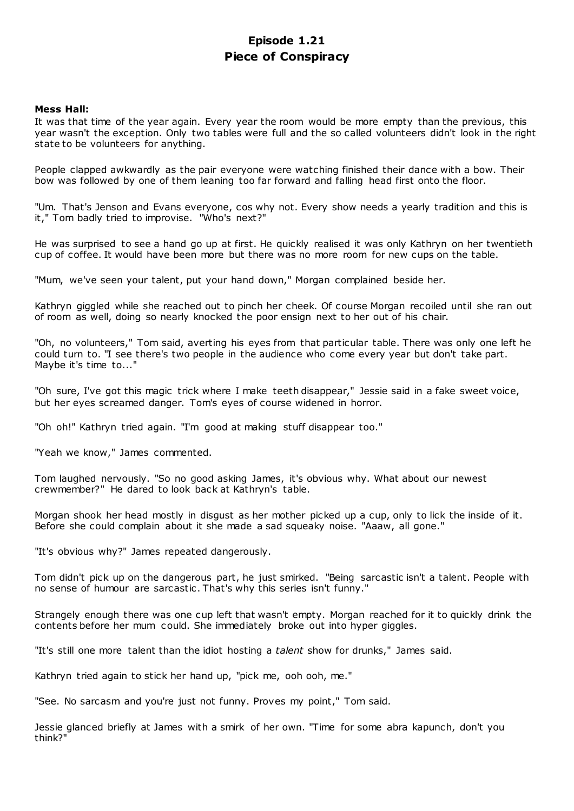# **Episode 1.21 Piece of Conspiracy**

## **Mess Hall:**

It was that time of the year again. Every year the room would be more empty than the previous, this year wasn't the exception. Only two tables were full and the so called volunteers didn't look in the right state to be volunteers for anything.

People clapped awkwardly as the pair everyone were watching finished their dance with a bow. Their bow was followed by one of them leaning too far forward and falling head first onto the floor.

"Um. That's Jenson and Evans everyone, cos why not. Every show needs a yearly tradition and this is it," Tom badly tried to improvise. "Who's next?"

He was surprised to see a hand go up at first. He quickly realised it was only Kathryn on her twentieth cup of coffee. It would have been more but there was no more room for new cups on the table.

"Mum, we've seen your talent, put your hand down," Morgan complained beside her.

Kathryn giggled while she reached out to pinch her cheek. Of course Morgan recoiled until she ran out of room as well, doing so nearly knocked the poor ensign next to her out of his chair.

"Oh, no volunteers," Tom said, averting his eyes from that particular table. There was only one left he could turn to. "I see there's two people in the audience who come every year but don't take part. Maybe it's time to..."

"Oh sure, I've got this magic trick where I make teeth disappear," Jessie said in a fake sweet voice, but her eyes screamed danger. Tom's eyes of course widened in horror.

"Oh oh!" Kathryn tried again. "I'm good at making stuff disappear too."

"Yeah we know," James commented.

Tom laughed nervously. "So no good asking James, it's obvious why. What about our newest crewmember?" He dared to look back at Kathryn's table.

Morgan shook her head mostly in disgust as her mother picked up a cup, only to lick the inside of it. Before she could complain about it she made a sad squeaky noise. "Aaaw, all gone."

"It's obvious why?" James repeated dangerously.

Tom didn't pick up on the dangerous part, he just smirked. "Being sarcastic isn't a talent. People with no sense of humour are sarcastic . That's why this series isn't funny."

Strangely enough there was one cup left that wasn't empty. Morgan reached for it to quickly drink the contents before her mum could. She immediately broke out into hyper giggles.

"It's still one more talent than the idiot hosting a *talent* show for drunks," James said.

Kathryn tried again to stick her hand up, "pick me, ooh ooh, me."

"See. No sarcasm and you're just not funny. Proves my point," Tom said.

Jessie glanced briefly at James with a smirk of her own. "Time for some abra kapunch, don't you think?"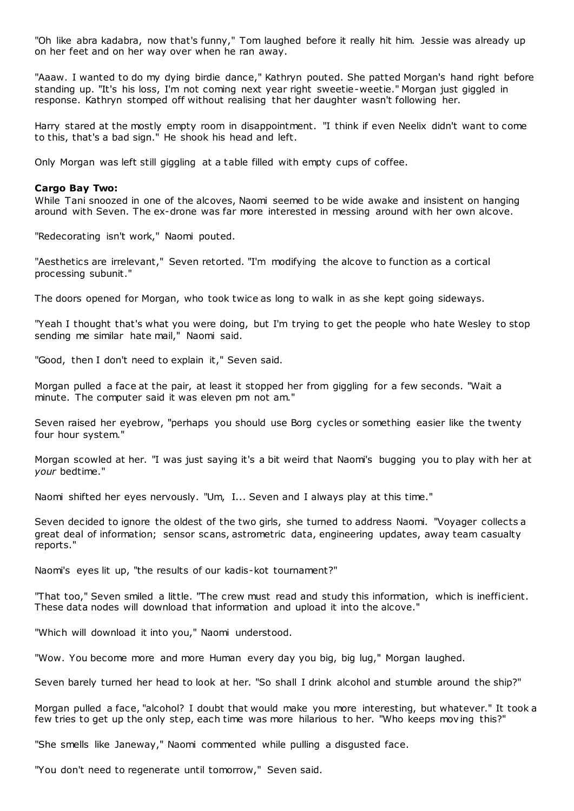"Oh like abra kadabra, now that's funny," Tom laughed before it really hit him. Jessie was already up on her feet and on her way over when he ran away.

"Aaaw. I wanted to do my dying birdie dance," Kathryn pouted. She patted Morgan's hand right before standing up. "It's his loss, I'm not coming next year right sweetie-weetie." Morgan just giggled in response. Kathryn stomped off without realising that her daughter wasn't following her.

Harry stared at the mostly empty room in disappointment. "I think if even Neelix didn't want to come to this, that's a bad sign." He shook his head and left.

Only Morgan was left still giggling at a table filled with empty cups of coffee.

#### **Cargo Bay Two:**

While Tani snoozed in one of the alcoves, Naomi seemed to be wide awake and insistent on hanging around with Seven. The ex-drone was far more interested in messing around with her own alcove.

"Redecorating isn't work," Naomi pouted.

"Aesthetics are irrelevant," Seven retorted. "I'm modifying the alcove to function as a cortical processing subunit."

The doors opened for Morgan, who took twice as long to walk in as she kept going sideways.

"Yeah I thought that's what you were doing, but I'm trying to get the people who hate Wesley to stop sending me similar hate mail," Naomi said.

"Good, then I don't need to explain it," Seven said.

Morgan pulled a face at the pair, at least it stopped her from giggling for a few seconds. "Wait a minute. The computer said it was eleven pm not am."

Seven raised her eyebrow, "perhaps you should use Borg cycles or something easier like the twenty four hour system."

Morgan scowled at her. "I was just saying it's a bit weird that Naomi's bugging you to play with her at *your* bedtime."

Naomi shifted her eyes nervously. "Um, I... Seven and I always play at this time."

Seven decided to ignore the oldest of the two girls, she turned to address Naomi. "Voyager collects a great deal of information; sensor scans, astrometric data, engineering updates, away team casualty reports."

Naomi's eyes lit up, "the results of our kadis-kot tournament?"

"That too," Seven smiled a little. "The crew must read and study this information, which is inefficient. These data nodes will download that information and upload it into the alcove."

"Which will download it into you," Naomi understood.

"Wow. You become more and more Human every day you big, big lug," Morgan laughed.

Seven barely turned her head to look at her. "So shall I drink alcohol and stumble around the ship?"

Morgan pulled a face, "alcohol? I doubt that would make you more interesting, but whatever." It took a few tries to get up the only step, each time was more hilarious to her. "Who keeps moving this?"

"She smells like Janeway," Naomi commented while pulling a disgusted face.

"You don't need to regenerate until tomorrow," Seven said.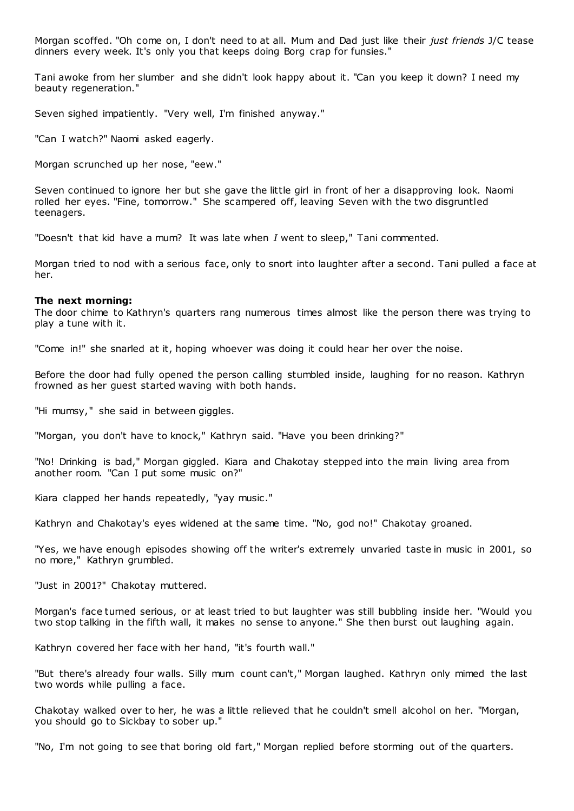Morgan scoffed. "Oh come on, I don't need to at all. Mum and Dad just like their *just friends* J/C tease dinners every week. It's only you that keeps doing Borg crap for funsies."

Tani awoke from her slumber and she didn't look happy about it. "Can you keep it down? I need my beauty regeneration."

Seven sighed impatiently. "Very well, I'm finished anyway."

"Can I watch?" Naomi asked eagerly.

Morgan scrunched up her nose, "eew."

Seven continued to ignore her but she gave the little girl in front of her a disapproving look. Naomi rolled her eyes. "Fine, tomorrow." She scampered off, leaving Seven with the two disgruntled teenagers.

"Doesn't that kid have a mum? It was late when *I* went to sleep," Tani commented.

Morgan tried to nod with a serious face, only to snort into laughter after a second. Tani pulled a face at her.

#### **The next morning:**

The door chime to Kathryn's quarters rang numerous times almost like the person there was trying to play a tune with it.

"Come in!" she snarled at it, hoping whoever was doing it could hear her over the noise.

Before the door had fully opened the person calling stumbled inside, laughing for no reason. Kathryn frowned as her guest started waving with both hands.

"Hi mumsy," she said in between giggles.

"Morgan, you don't have to knock," Kathryn said. "Have you been drinking?"

"No! Drinking is bad," Morgan giggled. Kiara and Chakotay stepped into the main living area from another room. "Can I put some music on?"

Kiara clapped her hands repeatedly, "yay music ."

Kathryn and Chakotay's eyes widened at the same time. "No, god no!" Chakotay groaned.

"Yes, we have enough episodes showing off the writer's extremely unvaried taste in music in 2001, so no more," Kathryn grumbled.

"Just in 2001?" Chakotay muttered.

Morgan's face turned serious, or at least tried to but laughter was still bubbling inside her. "Would you two stop talking in the fifth wall, it makes no sense to anyone." She then burst out laughing again.

Kathryn covered her face with her hand, "it's fourth wall."

"But there's already four walls. Silly mum count can't," Morgan laughed. Kathryn only mimed the last two words while pulling a face.

Chakotay walked over to her, he was a little relieved that he couldn't smell alcohol on her. "Morgan, you should go to Sickbay to sober up."

"No, I'm not going to see that boring old fart," Morgan replied before storming out of the quarters.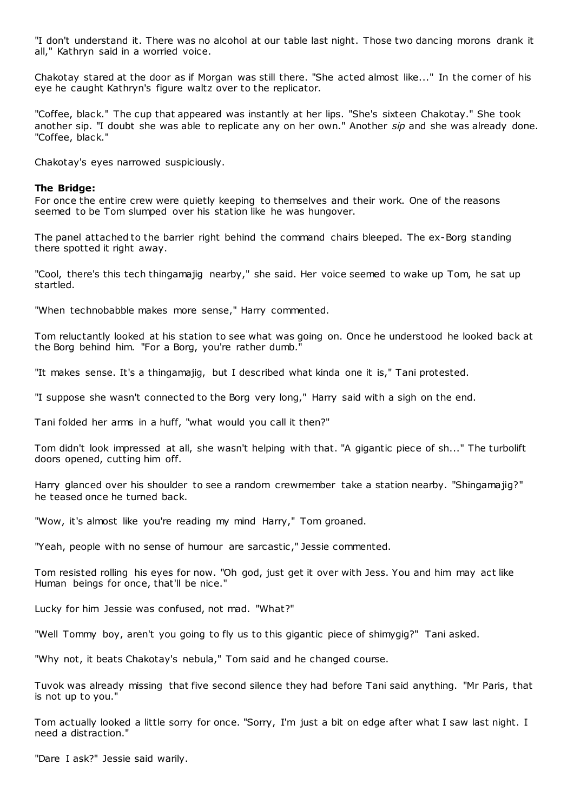"I don't understand it. There was no alcohol at our table last night. Those two dancing morons drank it all," Kathryn said in a worried voice.

Chakotay stared at the door as if Morgan was still there. "She acted almost like..." In the corner of his eye he caught Kathryn's figure waltz over to the replicator.

"Coffee, black." The cup that appeared was instantly at her lips. "She's sixteen Chakotay." She took another sip. "I doubt she was able to replicate any on her own." Another *sip* and she was already done. "Coffee, black."

Chakotay's eyes narrowed suspiciously.

## **The Bridge:**

For once the entire crew were quietly keeping to themselves and their work. One of the reasons seemed to be Tom slumped over his station like he was hungover.

The panel attached to the barrier right behind the command chairs bleeped. The ex-Borg standing there spotted it right away.

"Cool, there's this tech thingamajig nearby," she said. Her voice seemed to wake up Tom, he sat up startled.

"When technobabble makes more sense," Harry commented.

Tom reluctantly looked at his station to see what was going on. Once he understood he looked back at the Borg behind him. "For a Borg, you're rather dumb."

"It makes sense. It's a thingamajig, but I described what kinda one it is," Tani protested.

"I suppose she wasn't connected to the Borg very long," Harry said with a sigh on the end.

Tani folded her arms in a huff, "what would you call it then?"

Tom didn't look impressed at all, she wasn't helping with that. "A gigantic piece of sh..." The turbolift doors opened, cutting him off.

Harry glanced over his shoulder to see a random crewmember take a station nearby. "Shingama jig?" he teased once he turned back.

"Wow, it's almost like you're reading my mind Harry," Tom groaned.

"Yeah, people with no sense of humour are sarcastic ," Jessie commented.

Tom resisted rolling his eyes for now. "Oh god, just get it over with Jess. You and him may act like Human beings for once, that'll be nice."

Lucky for him Jessie was confused, not mad. "What?"

"Well Tommy boy, aren't you going to fly us to this gigantic piece of shimygig?" Tani asked.

"Why not, it beats Chakotay's nebula," Tom said and he changed course.

Tuvok was already missing that five second silence they had before Tani said anything. "Mr Paris, that is not up to you."

Tom actually looked a little sorry for once. "Sorry, I'm just a bit on edge after what I saw last night. I need a distraction."

"Dare I ask?" Jessie said warily.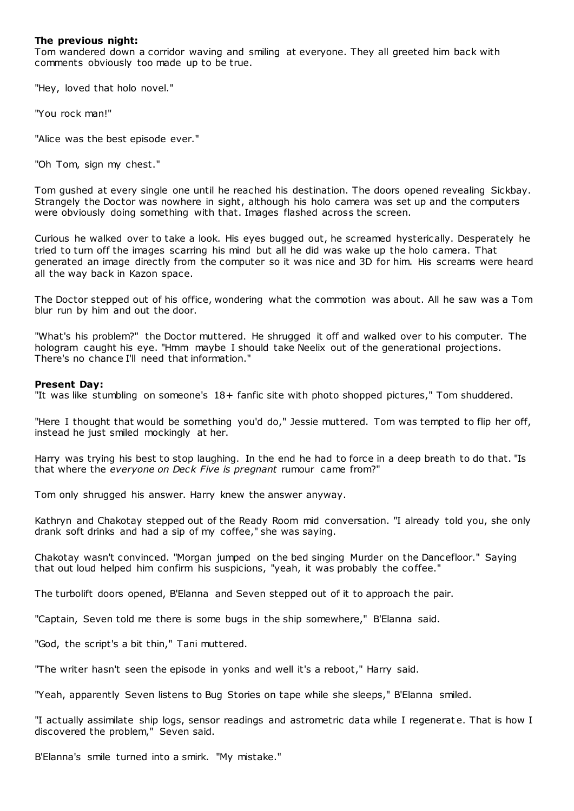## **The previous night:**

Tom wandered down a corridor waving and smiling at everyone. They all greeted him back with comments obviously too made up to be true.

"Hey, loved that holo novel."

"You rock man!"

"Alice was the best episode ever."

"Oh Tom, sign my chest."

Tom gushed at every single one until he reached his destination. The doors opened revealing Sickbay. Strangely the Doctor was nowhere in sight, although his holo camera was set up and the computers were obviously doing something with that. Images flashed across the screen.

Curious he walked over to take a look. His eyes bugged out, he screamed hysterically. Desperately he tried to turn off the images scarring his mind but all he did was wake up the holo camera. That generated an image directly from the computer so it was nice and 3D for him. His screams were heard all the way back in Kazon space.

The Doctor stepped out of his office, wondering what the commotion was about. All he saw was a Tom blur run by him and out the door.

"What's his problem?" the Doctor muttered. He shrugged it off and walked over to his computer. The hologram caught his eye. "Hmm maybe I should take Neelix out of the generational projections. There's no chance I'll need that information."

## **Present Day:**

"It was like stumbling on someone's 18+ fanfic site with photo shopped pictures," Tom shuddered.

"Here I thought that would be something you'd do," Jessie muttered. Tom was tempted to flip her off, instead he just smiled mockingly at her.

Harry was trying his best to stop laughing. In the end he had to force in a deep breath to do that. "Is that where the *everyone on Deck Five is pregnant* rumour came from?"

Tom only shrugged his answer. Harry knew the answer anyway.

Kathryn and Chakotay stepped out of the Ready Room mid conversation. "I already told you, she only drank soft drinks and had a sip of my coffee," she was saying.

Chakotay wasn't convinced. "Morgan jumped on the bed singing Murder on the Dancefloor." Saying that out loud helped him confirm his suspicions, "yeah, it was probably the coffee."

The turbolift doors opened, B'Elanna and Seven stepped out of it to approach the pair.

"Captain, Seven told me there is some bugs in the ship somewhere," B'Elanna said.

"God, the script's a bit thin," Tani muttered.

"The writer hasn't seen the episode in yonks and well it's a reboot," Harry said.

"Yeah, apparently Seven listens to Bug Stories on tape while she sleeps," B'Elanna smiled.

"I actually assimilate ship logs, sensor readings and astrometric data while I regenerat e. That is how I discovered the problem," Seven said.

B'Elanna's smile turned into a smirk. "My mistake."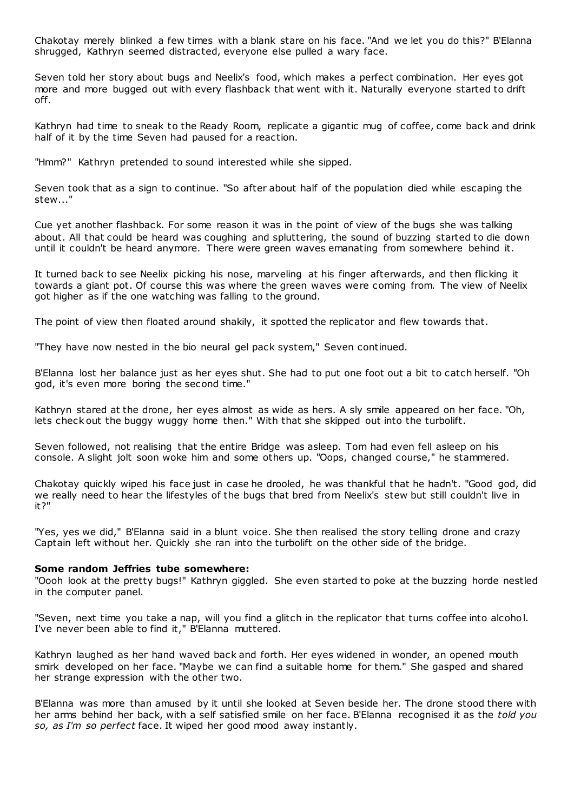Chakotay merely blinked a few times with a blank stare on his face. "And we let you do this?" B'Elanna shrugged, Kathryn seemed distracted, everyone else pulled a wary face.

Seven told her story about bugs and Neelix's food, which makes a perfect combination. Her eyes got more and more bugged out with every flashback that went with it. Naturally everyone started to drift off.

Kathryn had time to sneak to the Ready Room, replicate a gigantic mug of coffee, come back and drink half of it by the time Seven had paused for a reaction.

"Hmm?" Kathryn pretended to sound interested while she sipped.

Seven took that as a sign to continue. "So after about half of the population died while escaping the stew..."

Cue yet another flashback. For some reason it was in the point of view of the bugs she was talking about. All that could be heard was coughing and spluttering, the sound of buzzing started to die down until it couldn't be heard anymore. There were green waves emanating from somewhere behind it.

It turned back to see Neelix picking his nose, marveling at his finger afterwards, and then flicking it towards a giant pot. Of course this was where the green waves were coming from. The view of Neelix got higher as if the one watching was falling to the ground.

The point of view then floated around shakily, it spotted the replicator and flew towards that.

"They have now nested in the bio neural gel pack system," Seven continued.

B'Elanna lost her balance just as her eyes shut. She had to put one foot out a bit to catch herself. "Oh god, it's even more boring the second time."

Kathryn stared at the drone, her eyes almost as wide as hers. A sly smile appeared on her face. "Oh, lets check out the buggy wuggy home then." With that she skipped out into the turbolift.

Seven followed, not realising that the entire Bridge was asleep. Tom had even fell asleep on his console. A slight jolt soon woke him and some others up. "Oops, changed course," he stammered.

Chakotay quickly wiped his face just in case he drooled, he was thankful that he hadn't. "Good god, did we really need to hear the lifestyles of the bugs that bred from Neelix's stew but still couldn't live in it?"

"Yes, yes we did," B'Elanna said in a blunt voice. She then realised the story telling drone and crazy Captain left without her. Quickly she ran into the turbolift on the other side of the bridge.

#### **Some random Jeffries tube somewhere:**

"Oooh look at the pretty bugs!" Kathryn giggled. She even started to poke at the buzzing horde nestled in the computer panel.

"Seven, next time you take a nap, will you find a glitch in the replicator that turns coffee into alcohol. I've never been able to find it," B'Elanna muttered.

Kathryn laughed as her hand waved back and forth. Her eyes widened in wonder, an opened mouth smirk developed on her face. "Maybe we can find a suitable home for them." She gasped and shared her strange expression with the other two.

B'Elanna was more than amused by it until she looked at Seven beside her. The drone stood there with her arms behind her back, with a self satisfied smile on her face. B'Elanna recognised it as the *told you so, as I'm so perfect* face. It wiped her good mood away instantly.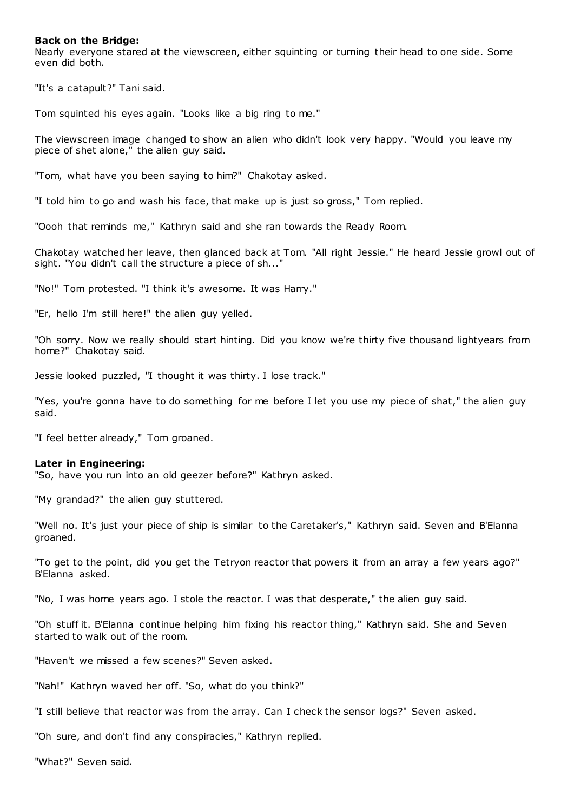### **Back on the Bridge:**

Nearly everyone stared at the viewscreen, either squinting or turning their head to one side. Some even did both.

"It's a catapult?" Tani said.

Tom squinted his eyes again. "Looks like a big ring to me."

The viewscreen image changed to show an alien who didn't look very happy. "Would you leave my piece of shet alone," the alien guy said.

"Tom, what have you been saying to him?" Chakotay asked.

"I told him to go and wash his face, that make up is just so gross," Tom replied.

"Oooh that reminds me," Kathryn said and she ran towards the Ready Room.

Chakotay watched her leave, then glanced back at Tom. "All right Jessie." He heard Jessie growl out of sight. "You didn't call the structure a piece of sh...'

"No!" Tom protested. "I think it's awesome. It was Harry."

"Er, hello I'm still here!" the alien guy yelled.

"Oh sorry. Now we really should start hinting. Did you know we're thirty five thousand lightyears from home?" Chakotay said.

Jessie looked puzzled, "I thought it was thirty. I lose track."

"Yes, you're gonna have to do something for me before I let you use my piece of shat," the alien guy said.

"I feel better already," Tom groaned.

#### **Later in Engineering:**

"So, have you run into an old geezer before?" Kathryn asked.

"My grandad?" the alien guy stuttered.

"Well no. It's just your piece of ship is similar to the Caretaker's," Kathryn said. Seven and B'Elanna groaned.

"To get to the point, did you get the Tetryon reactor that powers it from an array a few years ago?" B'Elanna asked.

"No, I was home years ago. I stole the reactor. I was that desperate," the alien guy said.

"Oh stuff it. B'Elanna continue helping him fixing his reactor thing," Kathryn said. She and Seven started to walk out of the room.

"Haven't we missed a few scenes?" Seven asked.

"Nah!" Kathryn waved her off. "So, what do you think?"

"I still believe that reactor was from the array. Can I check the sensor logs?" Seven asked.

"Oh sure, and don't find any conspiracies," Kathryn replied.

"What?" Seven said.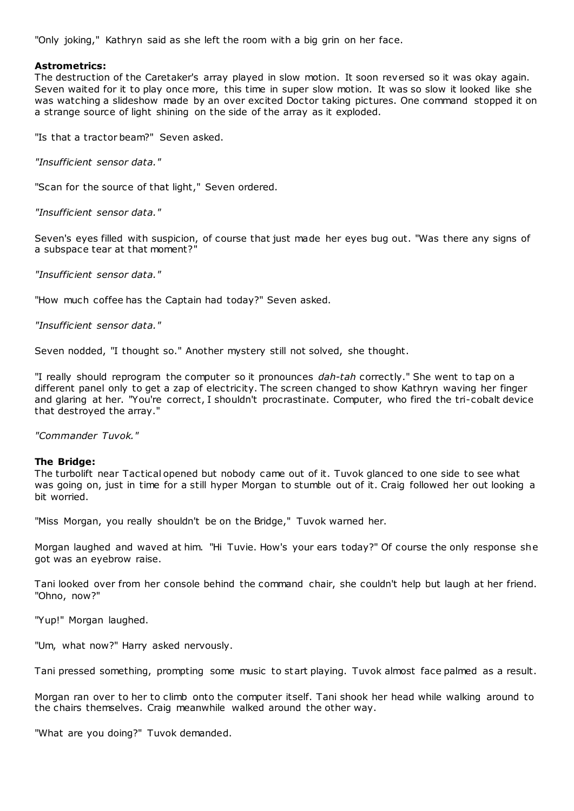"Only joking," Kathryn said as she left the room with a big grin on her face.

## **Astrometrics:**

The destruction of the Caretaker's array played in slow motion. It soon reversed so it was okay again. Seven waited for it to play once more, this time in super slow motion. It was so slow it looked like she was watching a slideshow made by an over excited Doctor taking pictures. One command stopped it on a strange source of light shining on the side of the array as it exploded.

"Is that a tractor beam?" Seven asked.

*"Insufficient sensor data."*

"Scan for the source of that light," Seven ordered.

*"Insufficient sensor data."*

Seven's eyes filled with suspicion, of course that just made her eyes bug out. "Was there any signs of a subspace tear at that moment?"

*"Insufficient sensor data."*

"How much coffee has the Captain had today?" Seven asked.

*"Insufficient sensor data."*

Seven nodded, "I thought so." Another mystery still not solved, she thought.

"I really should reprogram the computer so it pronounces *dah-tah* correctly." She went to tap on a different panel only to get a zap of electricity. The screen changed to show Kathryn waving her finger and glaring at her. "You're correct, I shouldn't procrastinate. Computer, who fired the tri-cobalt device that destroyed the array."

*"Commander Tuvok."*

## **The Bridge:**

The turbolift near Tactical opened but nobody came out of it. Tuvok glanced to one side to see what was going on, just in time for a still hyper Morgan to stumble out of it. Craig followed her out looking a bit worried.

"Miss Morgan, you really shouldn't be on the Bridge," Tuvok warned her.

Morgan laughed and waved at him. "Hi Tuvie. How's your ears today?" Of course the only response she got was an eyebrow raise.

Tani looked over from her console behind the command chair, she couldn't help but laugh at her friend. "Ohno, now?"

"Yup!" Morgan laughed.

"Um, what now?" Harry asked nervously.

Tani pressed something, prompting some music to start playing. Tuvok almost face palmed as a result.

Morgan ran over to her to climb onto the computer itself. Tani shook her head while walking around to the chairs themselves. Craig meanwhile walked around the other way.

"What are you doing?" Tuvok demanded.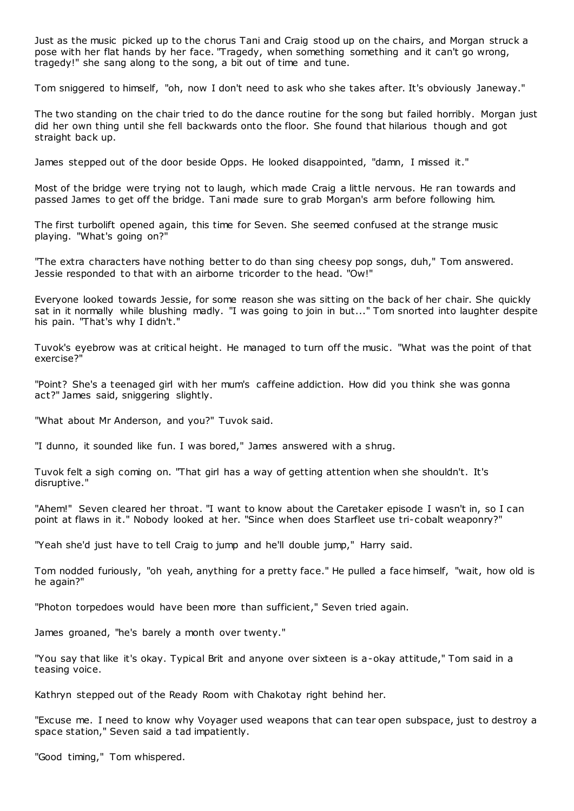Just as the music picked up to the chorus Tani and Craig stood up on the chairs, and Morgan struck a pose with her flat hands by her face. "Tragedy, when something something and it can't go wrong, tragedy!" she sang along to the song, a bit out of time and tune.

Tom sniggered to himself, "oh, now I don't need to ask who she takes after. It's obviously Janeway."

The two standing on the chair tried to do the dance routine for the song but failed horribly. Morgan just did her own thing until she fell backwards onto the floor. She found that hilarious though and got straight back up.

James stepped out of the door beside Opps. He looked disappointed, "damn, I missed it."

Most of the bridge were trying not to laugh, which made Craig a little nervous. He ran towards and passed James to get off the bridge. Tani made sure to grab Morgan's arm before following him.

The first turbolift opened again, this time for Seven. She seemed confused at the strange music playing. "What's going on?"

"The extra characters have nothing better to do than sing cheesy pop songs, duh," Tom answered. Jessie responded to that with an airborne tricorder to the head. "Ow!"

Everyone looked towards Jessie, for some reason she was sitting on the back of her chair. She quickly sat in it normally while blushing madly. "I was going to join in but..." Tom snorted into laughter despite his pain. "That's why I didn't."

Tuvok's eyebrow was at critical height. He managed to turn off the music . "What was the point of that exercise?"

"Point? She's a teenaged girl with her mum's caffeine addiction. How did you think she was gonna act?" James said, sniggering slightly.

"What about Mr Anderson, and you?" Tuvok said.

"I dunno, it sounded like fun. I was bored," James answered with a shrug.

Tuvok felt a sigh coming on. "That girl has a way of getting attention when she shouldn't. It's disruptive."

"Ahem!" Seven cleared her throat. "I want to know about the Caretaker episode I wasn't in, so I can point at flaws in it." Nobody looked at her. "Since when does Starfleet use tri-cobalt weaponry?"

"Yeah she'd just have to tell Craig to jump and he'll double jump," Harry said.

Tom nodded furiously, "oh yeah, anything for a pretty face." He pulled a face himself, "wait, how old is he again?"

"Photon torpedoes would have been more than sufficient," Seven tried again.

James groaned, "he's barely a month over twenty."

"You say that like it's okay. Typical Brit and anyone over sixteen is a-okay attitude," Tom said in a teasing voice.

Kathryn stepped out of the Ready Room with Chakotay right behind her.

"Excuse me. I need to know why Voyager used weapons that can tear open subspace, just to destroy a space station," Seven said a tad impatiently.

"Good timing," Tom whispered.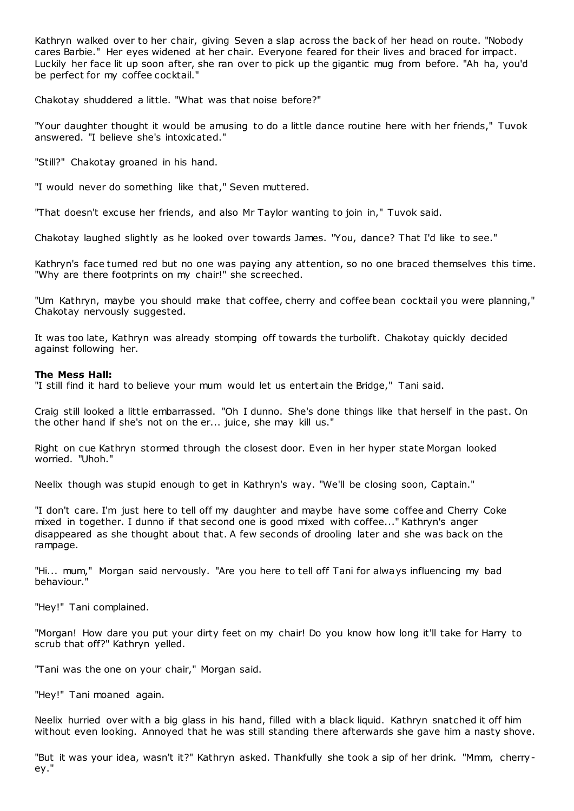Kathryn walked over to her chair, giving Seven a slap across the back of her head on route. "Nobody cares Barbie." Her eyes widened at her chair. Everyone feared for their lives and braced for impact. Luckily her face lit up soon after, she ran over to pick up the gigantic mug from before. "Ah ha, you'd be perfect for my coffee cocktail."

Chakotay shuddered a little. "What was that noise before?"

"Your daughter thought it would be amusing to do a little dance routine here with her friends," Tuvok answered. "I believe she's intoxicated."

"Still?" Chakotay groaned in his hand.

"I would never do something like that," Seven muttered.

"That doesn't excuse her friends, and also Mr Taylor wanting to join in," Tuvok said.

Chakotay laughed slightly as he looked over towards James. "You, dance? That I'd like to see."

Kathryn's face turned red but no one was paying any attention, so no one braced themselves this time. "Why are there footprints on my chair!" she screeched.

"Um Kathryn, maybe you should make that coffee, cherry and coffee bean cocktail you were planning," Chakotay nervously suggested.

It was too late, Kathryn was already stomping off towards the turbolift. Chakotay quickly decided against following her.

## **The Mess Hall:**

"I still find it hard to believe your mum would let us entertain the Bridge," Tani said.

Craig still looked a little embarrassed. "Oh I dunno. She's done things like that herself in the past. On the other hand if she's not on the er... juice, she may kill us."

Right on cue Kathryn stormed through the closest door. Even in her hyper state Morgan looked worried. "Uhoh."

Neelix though was stupid enough to get in Kathryn's way. "We'll be closing soon, Captain."

"I don't care. I'm just here to tell off my daughter and maybe have some coffee and Cherry Coke mixed in together. I dunno if that second one is good mixed with coffee..." Kathryn's anger disappeared as she thought about that. A few seconds of drooling later and she was back on the rampage.

"Hi... mum," Morgan said nervously. "Are you here to tell off Tani for always influencing my bad behaviour."

"Hey!" Tani complained.

"Morgan! How dare you put your dirty feet on my chair! Do you know how long it'll take for Harry to scrub that off?" Kathryn yelled.

"Tani was the one on your chair," Morgan said.

"Hey!" Tani moaned again.

Neelix hurried over with a big glass in his hand, filled with a black liquid. Kathryn snatched it off him without even looking. Annoyed that he was still standing there afterwards she gave him a nasty shove.

"But it was your idea, wasn't it?" Kathryn asked. Thankfully she took a sip of her drink. "Mmm, cherryey."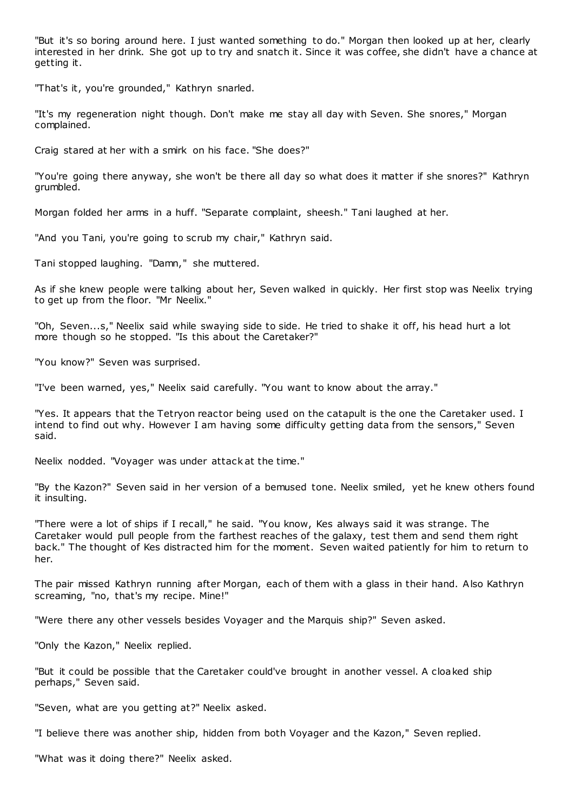"But it's so boring around here. I just wanted something to do." Morgan then looked up at her, clearly interested in her drink. She got up to try and snatch it. Since it was coffee, she didn't have a chance at getting it.

"That's it, you're grounded," Kathryn snarled.

"It's my regeneration night though. Don't make me stay all day with Seven. She snores," Morgan complained.

Craig stared at her with a smirk on his face. "She does?"

"You're going there anyway, she won't be there all day so what does it matter if she snores?" Kathryn grumbled.

Morgan folded her arms in a huff. "Separate complaint, sheesh." Tani laughed at her.

"And you Tani, you're going to scrub my chair," Kathryn said.

Tani stopped laughing. "Damn," she muttered.

As if she knew people were talking about her, Seven walked in quickly. Her first stop was Neelix trying to get up from the floor. "Mr Neelix."

"Oh, Seven...s," Neelix said while swaying side to side. He tried to shake it off, his head hurt a lot more though so he stopped. "Is this about the Caretaker?"

"You know?" Seven was surprised.

"I've been warned, yes," Neelix said carefully. "You want to know about the array."

"Yes. It appears that the Tetryon reactor being used on the catapult is the one the Caretaker used. I intend to find out why. However I am having some difficulty getting data from the sensors," Seven said.

Neelix nodded. "Voyager was under attack at the time."

"By the Kazon?" Seven said in her version of a bemused tone. Neelix smiled, yet he knew others found it insulting.

"There were a lot of ships if I recall," he said. "You know, Kes always said it was strange. The Caretaker would pull people from the farthest reaches of the galaxy, test them and send them right back." The thought of Kes distracted him for the moment. Seven waited patiently for him to return to her.

The pair missed Kathryn running after Morgan, each of them with a glass in their hand. Also Kathryn screaming, "no, that's my recipe. Mine!"

"Were there any other vessels besides Voyager and the Marquis ship?" Seven asked.

"Only the Kazon," Neelix replied.

"But it could be possible that the Caretaker could've brought in another vessel. A cloaked ship perhaps," Seven said.

"Seven, what are you getting at?" Neelix asked.

"I believe there was another ship, hidden from both Voyager and the Kazon," Seven replied.

"What was it doing there?" Neelix asked.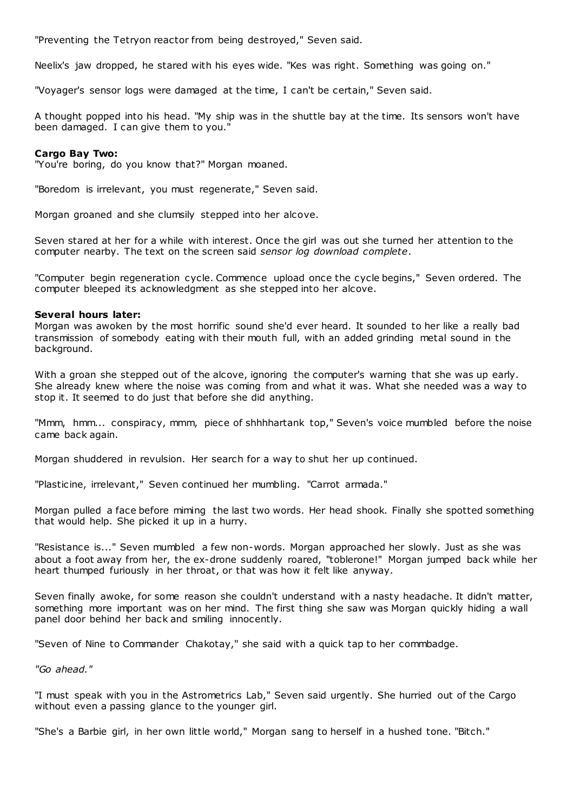"Preventing the Tetryon reactor from being destroyed," Seven said.

Neelix's jaw dropped, he stared with his eyes wide. "Kes was right. Something was going on."

"Voyager's sensor logs were damaged at the time, I can't be certain," Seven said.

A thought popped into his head. "My ship was in the shuttle bay at the time. Its sensors won't have been damaged. I can give them to you."

#### **Cargo Bay Two:**

"You're boring, do you know that?" Morgan moaned.

"Boredom is irrelevant, you must regenerate," Seven said.

Morgan groaned and she clumsily stepped into her alcove.

Seven stared at her for a while with interest. Once the girl was out she turned her attention to the computer nearby. The text on the screen said *sensor log download complete*.

"Computer begin regeneration cycle. Commence upload once the cycle begins," Seven ordered. The computer bleeped its acknowledgment as she stepped into her alcove.

#### **Several hours later:**

Morgan was awoken by the most horrific sound she'd ever heard. It sounded to her like a really bad transmission of somebody eating with their mouth full, with an added grinding metal sound in the background.

With a groan she stepped out of the alcove, ignoring the computer's warning that she was up early. She already knew where the noise was coming from and what it was. What she needed was a way to stop it. It seemed to do just that before she did anything.

"Mmm, hmm... conspiracy, mmm, piece of shhhhartank top," Seven's voice mumbled before the noise came back again.

Morgan shuddered in revulsion. Her search for a way to shut her up continued.

"Plasticine, irrelevant," Seven continued her mumbling. "Carrot armada."

Morgan pulled a face before miming the last two words. Her head shook. Finally she spotted something that would help. She picked it up in a hurry.

"Resistance is..." Seven mumbled a few non-words. Morgan approached her slowly. Just as she was about a foot away from her, the ex-drone suddenly roared, "toblerone!" Morgan jumped back while her heart thumped furiously in her throat, or that was how it felt like anyway.

Seven finally awoke, for some reason she couldn't understand with a nasty headache. It didn't matter, something more important was on her mind. The first thing she saw was Morgan quickly hiding a wall panel door behind her back and smiling innocently.

"Seven of Nine to Commander Chakotay," she said with a quick tap to her commbadge.

*"Go ahead."*

"I must speak with you in the Astrometrics Lab," Seven said urgently. She hurried out of the Cargo without even a passing glance to the younger girl.

"She's a Barbie girl, in her own little world," Morgan sang to herself in a hushed tone. "Bitch."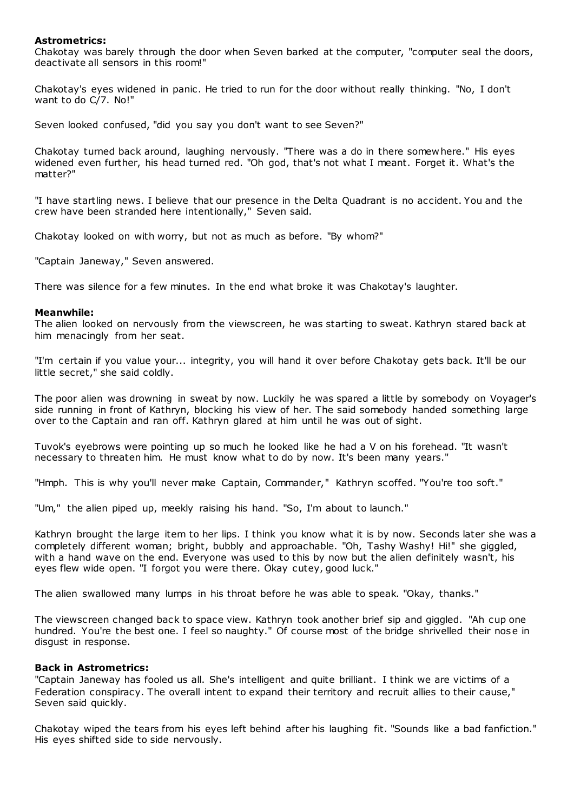## **Astrometrics:**

Chakotay was barely through the door when Seven barked at the computer, "computer seal the doors, deactivate all sensors in this room!"

Chakotay's eyes widened in panic . He tried to run for the door without really thinking. "No, I don't want to do C/7. No!"

Seven looked confused, "did you say you don't want to see Seven?"

Chakotay turned back around, laughing nervously. "There was a do in there somew here." His eyes widened even further, his head turned red. "Oh god, that's not what I meant. Forget it. What's the matter?"

"I have startling news. I believe that our presence in the Delta Quadrant is no accident. You and the crew have been stranded here intentionally," Seven said.

Chakotay looked on with worry, but not as much as before. "By whom?"

"Captain Janeway," Seven answered.

There was silence for a few minutes. In the end what broke it was Chakotay's laughter.

## **Meanwhile:**

The alien looked on nervously from the viewscreen, he was starting to sweat. Kathryn stared back at him menacingly from her seat.

"I'm certain if you value your... integrity, you will hand it over before Chakotay gets back. It'll be our little secret," she said coldly.

The poor alien was drowning in sweat by now. Luckily he was spared a little by somebody on Voyager's side running in front of Kathryn, blocking his view of her. The said somebody handed something large over to the Captain and ran off. Kathryn glared at him until he was out of sight.

Tuvok's eyebrows were pointing up so much he looked like he had a V on his forehead. "It wasn't necessary to threaten him. He must know what to do by now. It's been many years."

"Hmph. This is why you'll never make Captain, Commander," Kathryn scoffed. "You're too soft."

"Um," the alien piped up, meekly raising his hand. "So, I'm about to launch."

Kathryn brought the large item to her lips. I think you know what it is by now. Seconds later she was a completely different woman; bright, bubbly and approachable. "Oh, Tashy Washy! Hi!" she giggled, with a hand wave on the end. Everyone was used to this by now but the alien definitely wasn't, his eyes flew wide open. "I forgot you were there. Okay cutey, good luck."

The alien swallowed many lumps in his throat before he was able to speak. "Okay, thanks."

The viewscreen changed back to space view. Kathryn took another brief sip and giggled. "Ah cup one hundred. You're the best one. I feel so naughty." Of course most of the bridge shrivelled their nose in disgust in response.

## **Back in Astrometrics:**

"Captain Janeway has fooled us all. She's intelligent and quite brilliant. I think we are victims of a Federation conspiracy. The overall intent to expand their territory and recruit allies to their cause," Seven said quickly.

Chakotay wiped the tears from his eyes left behind after his laughing fit. "Sounds like a bad fanfiction." His eyes shifted side to side nervously.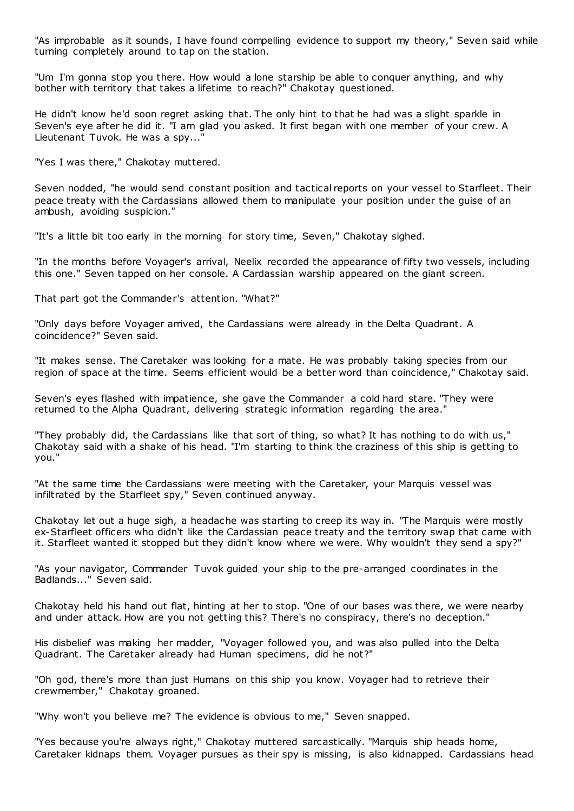"As improbable as it sounds, I have found compelling evidence to support my theory," Seven said while turning completely around to tap on the station.

"Um I'm gonna stop you there. How would a lone starship be able to conquer anything, and why bother with territory that takes a lifetime to reach?" Chakotay questioned.

He didn't know he'd soon regret asking that. The only hint to that he had was a slight sparkle in Seven's eye after he did it. "I am glad you asked. It first began with one member of your crew. A Lieutenant Tuvok. He was a spy..."

"Yes I was there," Chakotay muttered.

Seven nodded, "he would send constant position and tactical reports on your vessel to Starfleet. Their peace treaty with the Cardassians allowed them to manipulate your position under the guise of an ambush, avoiding suspicion."

"It's a little bit too early in the morning for story time, Seven," Chakotay sighed.

"In the months before Voyager's arrival, Neelix recorded the appearance of fifty two vessels, including this one." Seven tapped on her console. A Cardassian warship appeared on the giant screen.

That part got the Commander's attention. "What?"

"Only days before Voyager arrived, the Cardassians were already in the Delta Quadrant. A coincidence?" Seven said.

"It makes sense. The Caretaker was looking for a mate. He was probably taking species from our region of space at the time. Seems efficient would be a better word than coincidence," Chakotay said.

Seven's eyes flashed with impatience, she gave the Commander a cold hard stare. "They were returned to the Alpha Quadrant, delivering strategic information regarding the area."

"They probably did, the Cardassians like that sort of thing, so what? It has nothing to do with us," Chakotay said with a shake of his head. "I'm starting to think the craziness of this ship is getting to you."

"At the same time the Cardassians were meeting with the Caretaker, your Marquis vessel was infiltrated by the Starfleet spy," Seven continued anyway.

Chakotay let out a huge sigh, a headache was starting to creep its way in. "The Marquis were mostly ex-Starfleet officers who didn't like the Cardassian peace treaty and the territory swap that came with it. Starfleet wanted it stopped but they didn't know where we were. Why wouldn't they send a spy?"

"As your navigator, Commander Tuvok guided your ship to the pre-arranged coordinates in the Badlands..." Seven said.

Chakotay held his hand out flat, hinting at her to stop. "One of our bases was there, we were nearby and under attack. How are you not getting this? There's no conspiracy, there's no deception."

His disbelief was making her madder, "Voyager followed you, and was also pulled into the Delta Quadrant. The Caretaker already had Human specimens, did he not?"

"Oh god, there's more than just Humans on this ship you know. Voyager had to retrieve their crewmember," Chakotay groaned.

"Why won't you believe me? The evidence is obvious to me," Seven snapped.

"Yes because you're always right," Chakotay muttered sarcastically. "Marquis ship heads home, Caretaker kidnaps them. Voyager pursues as their spy is missing, is also kidnapped. Cardassians head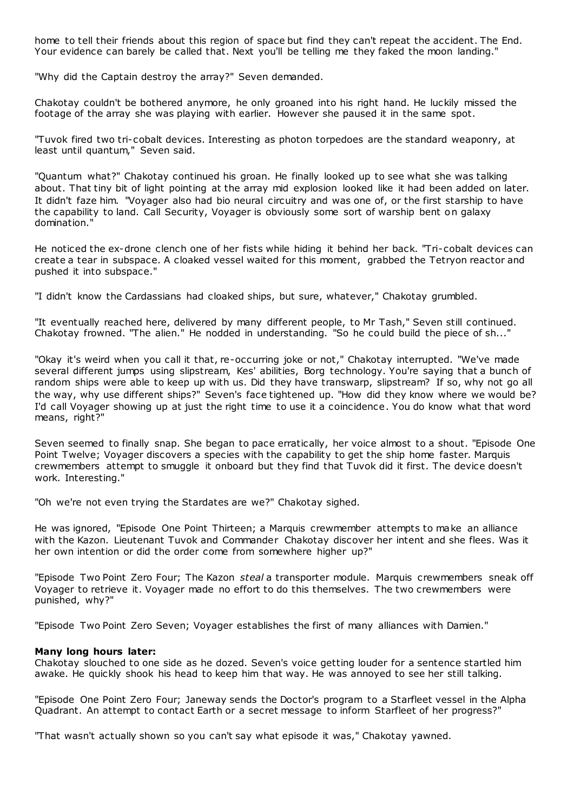home to tell their friends about this region of space but find they can't repeat the accident. The End. Your evidence can barely be called that. Next you'll be telling me they faked the moon landing.'

"Why did the Captain destroy the array?" Seven demanded.

Chakotay couldn't be bothered anymore, he only groaned into his right hand. He luckily missed the footage of the array she was playing with earlier. However she paused it in the same spot.

"Tuvok fired two tri-cobalt devices. Interesting as photon torpedoes are the standard weaponry, at least until quantum," Seven said.

"Quantum what?" Chakotay continued his groan. He finally looked up to see what she was talking about. That tiny bit of light pointing at the array mid explosion looked like it had been added on later. It didn't faze him. "Voyager also had bio neural circuitry and was one of, or the first starship to have the capability to land. Call Security, Voyager is obviously some sort of warship bent on galaxy domination."

He noticed the ex-drone clench one of her fists while hiding it behind her back. "Tri-cobalt devices can create a tear in subspace. A cloaked vessel waited for this moment, grabbed the Tetryon reactor and pushed it into subspace."

"I didn't know the Cardassians had cloaked ships, but sure, whatever," Chakotay grumbled.

"It eventually reached here, delivered by many different people, to Mr Tash," Seven still continued. Chakotay frowned. "The alien." He nodded in understanding. "So he could build the piece of sh..."

"Okay it's weird when you call it that, re-occurring joke or not," Chakotay interrupted. "We've made several different jumps using slipstream, Kes' abilities, Borg technology. You're saying that a bunch of random ships were able to keep up with us. Did they have transwarp, slipstream? If so, why not go all the way, why use different ships?" Seven's face tightened up. "How did they know where we would be? I'd call Voyager showing up at just the right time to use it a coincidence. You do know what that word means, right?"

Seven seemed to finally snap. She began to pace erratically, her voice almost to a shout. "Episode One Point Twelve; Voyager discovers a species with the capability to get the ship home faster. Marquis crewmembers attempt to smuggle it onboard but they find that Tuvok did it first. The device doesn't work. Interesting."

"Oh we're not even trying the Stardates are we?" Chakotay sighed.

He was ignored, "Episode One Point Thirteen; a Marquis crewmember attempts to make an alliance with the Kazon. Lieutenant Tuvok and Commander Chakotay discover her intent and she flees. Was it her own intention or did the order come from somewhere higher up?"

"Episode Two Point Zero Four; The Kazon *steal* a transporter module. Marquis crewmembers sneak off Voyager to retrieve it. Voyager made no effort to do this themselves. The two crewmembers were punished, why?"

"Episode Two Point Zero Seven; Voyager establishes the first of many alliances with Damien."

## **Many long hours later:**

Chakotay slouched to one side as he dozed. Seven's voice getting louder for a sentence startled him awake. He quickly shook his head to keep him that way. He was annoyed to see her still talking.

"Episode One Point Zero Four; Janeway sends the Doctor's program to a Starfleet vessel in the Alpha Quadrant. An attempt to contact Earth or a secret message to inform Starfleet of her progress?"

"That wasn't actually shown so you can't say what episode it was," Chakotay yawned.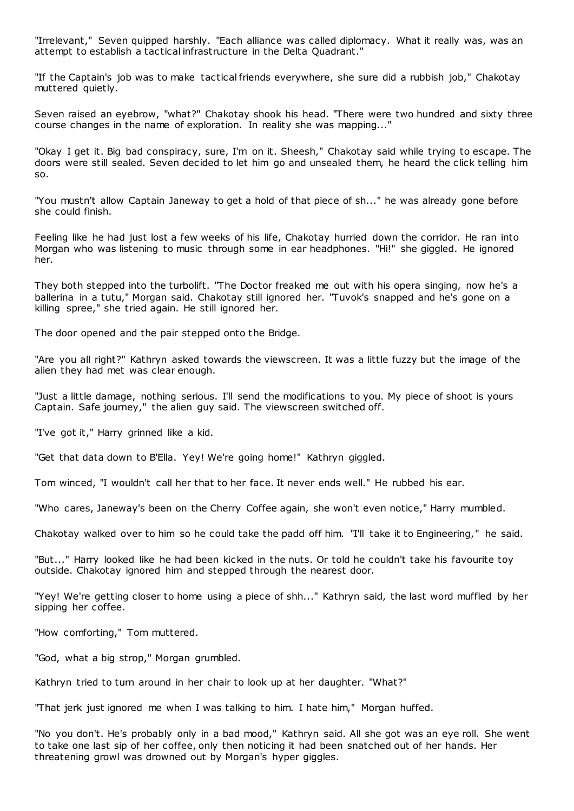"Irrelevant," Seven quipped harshly. "Each alliance was called diplomacy. What it really was, was an attempt to establish a tactical infrastructure in the Delta Quadrant."

"If the Captain's job was to make tactical friends everywhere, she sure did a rubbish job," Chakotay muttered quietly.

Seven raised an eyebrow, "what?" Chakotay shook his head. "There were two hundred and sixty three course changes in the name of exploration. In reality she was mapping..."

"Okay I get it. Big bad conspiracy, sure, I'm on it. Sheesh," Chakotay said while trying to escape. The doors were still sealed. Seven decided to let him go and unsealed them, he heard the click telling him so.

"You mustn't allow Captain Janeway to get a hold of that piece of sh..." he was already gone before she could finish.

Feeling like he had just lost a few weeks of his life, Chakotay hurried down the corridor. He ran into Morgan who was listening to music through some in ear headphones. "Hi!" she giggled. He ignored her.

They both stepped into the turbolift. "The Doctor freaked me out with his opera singing, now he's a ballerina in a tutu," Morgan said. Chakotay still ignored her. "Tuvok's snapped and he's gone on a killing spree," she tried again. He still ignored her.

The door opened and the pair stepped onto the Bridge.

"Are you all right?" Kathryn asked towards the viewscreen. It was a little fuzzy but the image of the alien they had met was clear enough.

"Just a little damage, nothing serious. I'll send the modifications to you. My piece of shoot is yours Captain. Safe journey," the alien guy said. The viewscreen switched off.

"I've got it," Harry grinned like a kid.

"Get that data down to B'Ella. Yey! We're going home!" Kathryn giggled.

Tom winced, "I wouldn't call her that to her face. It never ends well." He rubbed his ear.

"Who cares, Janeway's been on the Cherry Coffee again, she won't even notice," Harry mumbled.

Chakotay walked over to him so he could take the padd off him. "I'll take it to Engineering," he said.

"But..." Harry looked like he had been kicked in the nuts. Or told he couldn't take his favourite toy outside. Chakotay ignored him and stepped through the nearest door.

"Yey! We're getting closer to home using a piece of shh..." Kathryn said, the last word muffled by her sipping her coffee.

"How comforting," Tom muttered.

"God, what a big strop," Morgan grumbled.

Kathryn tried to turn around in her chair to look up at her daughter. "What?"

"That jerk just ignored me when I was talking to him. I hate him," Morgan huffed.

"No you don't. He's probably only in a bad mood," Kathryn said. All she got was an eye roll. She went to take one last sip of her coffee, only then noticing it had been snatched out of her hands. Her threatening growl was drowned out by Morgan's hyper giggles.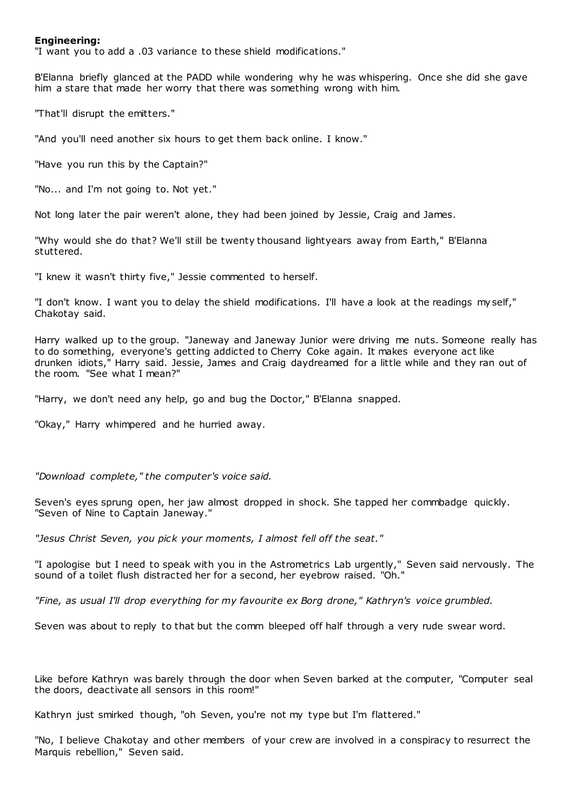## **Engineering:**

"I want you to add a .03 variance to these shield modifications."

B'Elanna briefly glanced at the PADD while wondering why he was whispering. Once she did she gave him a stare that made her worry that there was something wrong with him.

"That'll disrupt the emitters."

"And you'll need another six hours to get them back online. I know."

"Have you run this by the Captain?"

"No... and I'm not going to. Not yet."

Not long later the pair weren't alone, they had been joined by Jessie, Craig and James.

"Why would she do that? We'll still be twenty thousand lightyears away from Earth," B'Elanna stuttered.

"I knew it wasn't thirty five," Jessie commented to herself.

"I don't know. I want you to delay the shield modifications. I'll have a look at the readings myself," Chakotay said.

Harry walked up to the group. "Janeway and Janeway Junior were driving me nuts. Someone really has to do something, everyone's getting addicted to Cherry Coke again. It makes everyone act like drunken idiots," Harry said. Jessie, James and Craig daydreamed for a little while and they ran out of the room. "See what I mean?"

"Harry, we don't need any help, go and bug the Doctor," B'Elanna snapped.

"Okay," Harry whimpered and he hurried away.

*"Download complete," the computer's voice said.*

Seven's eyes sprung open, her jaw almost dropped in shock. She tapped her commbadge quickly. "Seven of Nine to Captain Janeway."

*"Jesus Christ Seven, you pick your moments, I almost fell off the seat."*

"I apologise but I need to speak with you in the Astrometrics Lab urgently," Seven said nervously. The sound of a toilet flush distracted her for a second, her eyebrow raised. "Oh."

*"Fine, as usual I'll drop everything for my favourite ex Borg drone," Kathryn's voice grumbled.*

Seven was about to reply to that but the comm bleeped off half through a very rude swear word.

Like before Kathryn was barely through the door when Seven barked at the computer, "Computer seal the doors, deactivate all sensors in this room!"

Kathryn just smirked though, "oh Seven, you're not my type but I'm flattered."

"No, I believe Chakotay and other members of your crew are involved in a conspiracy to resurrect the Marquis rebellion," Seven said.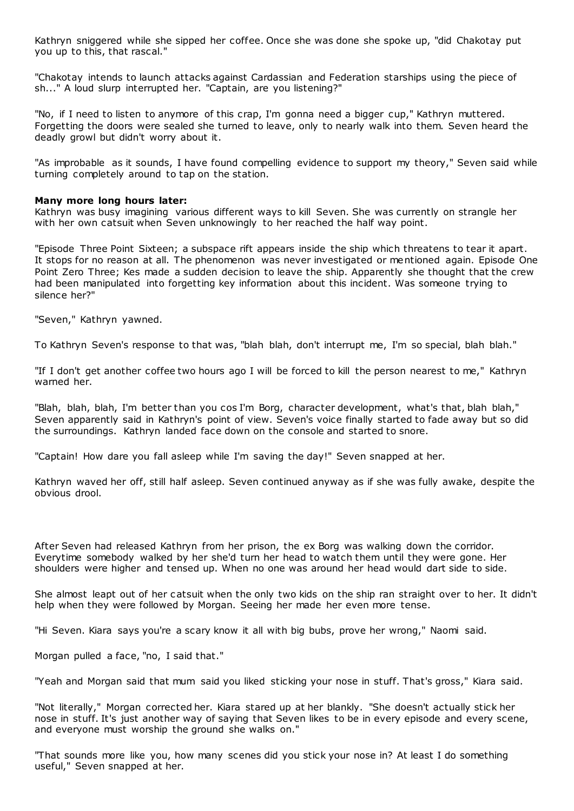Kathryn sniggered while she sipped her coffee. Once she was done she spoke up, "did Chakotay put you up to this, that rascal."

"Chakotay intends to launch attacks against Cardassian and Federation starships using the piece of sh..." A loud slurp interrupted her. "Captain, are you listening?"

"No, if I need to listen to anymore of this crap, I'm gonna need a bigger cup," Kathryn muttered. Forgetting the doors were sealed she turned to leave, only to nearly walk into them. Seven heard the deadly growl but didn't worry about it.

"As improbable as it sounds, I have found compelling evidence to support my theory," Seven said while turning completely around to tap on the station.

## **Many more long hours later:**

Kathryn was busy imagining various different ways to kill Seven. She was currently on strangle her with her own catsuit when Seven unknowingly to her reached the half way point.

"Episode Three Point Sixteen; a subspace rift appears inside the ship which threatens to tear it apart. It stops for no reason at all. The phenomenon was never investigated or mentioned again. Episode One Point Zero Three; Kes made a sudden decision to leave the ship. Apparently she thought that the crew had been manipulated into forgetting key information about this incident. Was someone trying to silence her?"

"Seven," Kathryn yawned.

To Kathryn Seven's response to that was, "blah blah, don't interrupt me, I'm so special, blah blah."

"If I don't get another coffee two hours ago I will be forced to kill the person nearest to me," Kathryn warned her.

"Blah, blah, blah, I'm better than you cos I'm Borg, character development, what's that, blah blah," Seven apparently said in Kathryn's point of view. Seven's voice finally started to fade away but so did the surroundings. Kathryn landed face down on the console and started to snore.

"Captain! How dare you fall asleep while I'm saving the day!" Seven snapped at her.

Kathryn waved her off, still half asleep. Seven continued anyway as if she was fully awake, despite the obvious drool.

After Seven had released Kathryn from her prison, the ex Borg was walking down the corridor. Everytime somebody walked by her she'd turn her head to watch them until they were gone. Her shoulders were higher and tensed up. When no one was around her head would dart side to side.

She almost leapt out of her catsuit when the only two kids on the ship ran straight over to her. It didn't help when they were followed by Morgan. Seeing her made her even more tense.

"Hi Seven. Kiara says you're a scary know it all with big bubs, prove her wrong," Naomi said.

Morgan pulled a face, "no, I said that."

"Yeah and Morgan said that mum said you liked sticking your nose in stuff. That's gross," Kiara said.

"Not literally," Morgan corrected her. Kiara stared up at her blankly. "She doesn't actually stick her nose in stuff. It's just another way of saying that Seven likes to be in every episode and every scene, and everyone must worship the ground she walks on."

"That sounds more like you, how many scenes did you stick your nose in? At least I do something useful," Seven snapped at her.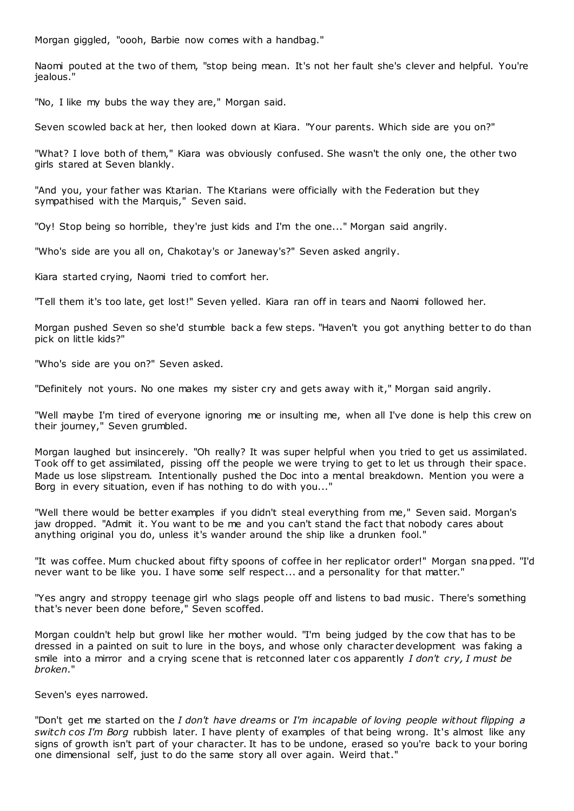Morgan giggled, "oooh, Barbie now comes with a handbag."

Naomi pouted at the two of them, "stop being mean. It's not her fault she's clever and helpful. You're jealous."

"No, I like my bubs the way they are," Morgan said.

Seven scowled back at her, then looked down at Kiara. "Your parents. Which side are you on?"

"What? I love both of them," Kiara was obviously confused. She wasn't the only one, the other two girls stared at Seven blankly.

"And you, your father was Ktarian. The Ktarians were officially with the Federation but they sympathised with the Marquis," Seven said.

"Oy! Stop being so horrible, they're just kids and I'm the one..." Morgan said angrily.

"Who's side are you all on, Chakotay's or Janeway's?" Seven asked angrily.

Kiara started crying, Naomi tried to comfort her.

"Tell them it's too late, get lost!" Seven yelled. Kiara ran off in tears and Naomi followed her.

Morgan pushed Seven so she'd stumble back a few steps. "Haven't you got anything better to do than pick on little kids?"

"Who's side are you on?" Seven asked.

"Definitely not yours. No one makes my sister cry and gets away with it," Morgan said angrily.

"Well maybe I'm tired of everyone ignoring me or insulting me, when all I've done is help this crew on their journey," Seven grumbled.

Morgan laughed but insincerely. "Oh really? It was super helpful when you tried to get us assimilated. Took off to get assimilated, pissing off the people we were trying to get to let us through their space. Made us lose slipstream. Intentionally pushed the Doc into a mental breakdown. Mention you were a Borg in every situation, even if has nothing to do with you..."

"Well there would be better examples if you didn't steal everything from me," Seven said. Morgan's jaw dropped. "Admit it. You want to be me and you can't stand the fact that nobody cares about anything original you do, unless it's wander around the ship like a drunken fool."

"It was coffee. Mum chucked about fifty spoons of coffee in her replicator order!" Morgan snapped. "I'd never want to be like you. I have some self respect... and a personality for that matter."

"Yes angry and stroppy teenage girl who slags people off and listens to bad music . There's something that's never been done before," Seven scoffed.

Morgan couldn't help but growl like her mother would. "I'm being judged by the cow that has to be dressed in a painted on suit to lure in the boys, and whose only character development was faking a smile into a mirror and a crying scene that is retconned later c os apparently *I don't cry, I must be broken*."

Seven's eyes narrowed.

"Don't get me started on the *I don't have dreams* or *I'm incapable of loving people without flipping a switch cos I'm Borg* rubbish later. I have plenty of examples of that being wrong. It's almost like any signs of growth isn't part of your character. It has to be undone, erased so you're back to your boring one dimensional self, just to do the same story all over again. Weird that."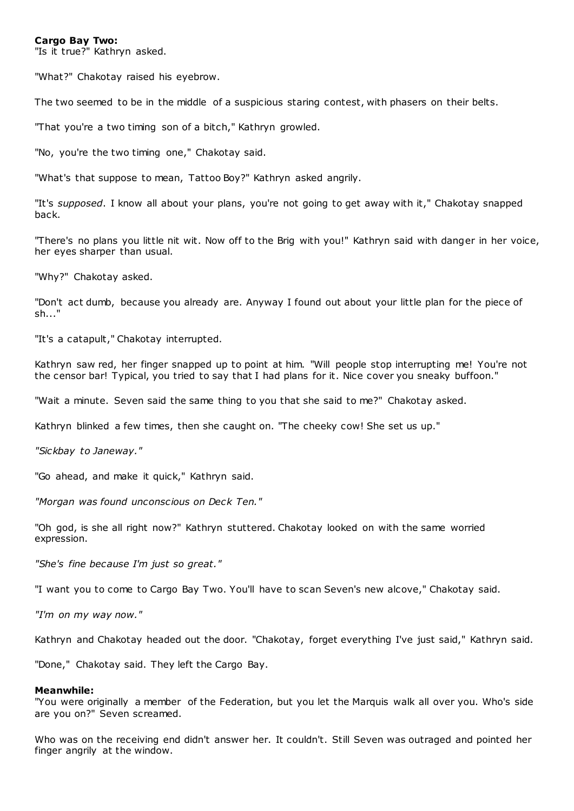#### **Cargo Bay Two:**

"Is it true?" Kathryn asked.

"What?" Chakotay raised his eyebrow.

The two seemed to be in the middle of a suspicious staring contest, with phasers on their belts.

"That you're a two timing son of a bitch," Kathryn growled.

"No, you're the two timing one," Chakotay said.

"What's that suppose to mean, Tattoo Boy?" Kathryn asked angrily.

"It's *supposed*. I know all about your plans, you're not going to get away with it," Chakotay snapped back.

"There's no plans you little nit wit. Now off to the Brig with you!" Kathryn said with danger in her voice, her eyes sharper than usual.

"Why?" Chakotay asked.

"Don't act dumb, because you already are. Anyway I found out about your little plan for the piece of sh..."

"It's a catapult," Chakotay interrupted.

Kathryn saw red, her finger snapped up to point at him. "Will people stop interrupting me! You're not the censor bar! Typical, you tried to say that I had plans for it. Nice cover you sneaky buffoon."

"Wait a minute. Seven said the same thing to you that she said to me?" Chakotay asked.

Kathryn blinked a few times, then she caught on. "The cheeky cow! She set us up."

*"Sickbay to Janeway."*

"Go ahead, and make it quick," Kathryn said.

*"Morgan was found unconscious on Deck Ten."*

"Oh god, is she all right now?" Kathryn stuttered. Chakotay looked on with the same worried expression.

*"She's fine because I'm just so great."*

"I want you to come to Cargo Bay Two. You'll have to scan Seven's new alcove," Chakotay said.

*"I'm on my way now."*

Kathryn and Chakotay headed out the door. "Chakotay, forget everything I've just said," Kathryn said.

"Done," Chakotay said. They left the Cargo Bay.

#### **Meanwhile:**

"You were originally a member of the Federation, but you let the Marquis walk all over you. Who's side are you on?" Seven screamed.

Who was on the receiving end didn't answer her. It couldn't. Still Seven was outraged and pointed her finger angrily at the window.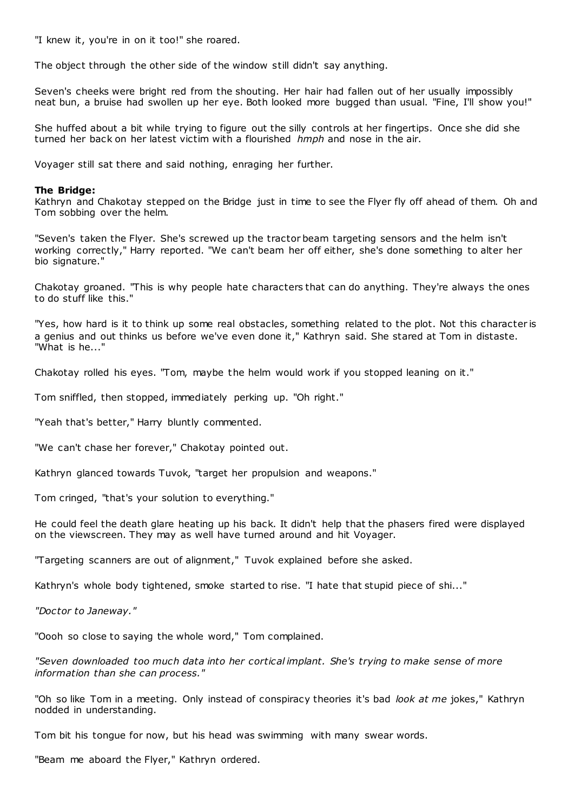"I knew it, you're in on it too!" she roared.

The object through the other side of the window still didn't say anything.

Seven's cheeks were bright red from the shouting. Her hair had fallen out of her usually impossibly neat bun, a bruise had swollen up her eye. Both looked more bugged than usual. "Fine, I'll show you!"

She huffed about a bit while trying to figure out the silly controls at her fingertips. Once she did she turned her back on her latest victim with a flourished *hmph* and nose in the air.

Voyager still sat there and said nothing, enraging her further.

## **The Bridge:**

Kathryn and Chakotay stepped on the Bridge just in time to see the Flyer fly off ahead of them. Oh and Tom sobbing over the helm.

"Seven's taken the Flyer. She's screwed up the tractor beam targeting sensors and the helm isn't working correctly," Harry reported. "We can't beam her off either, she's done something to alter her bio signature."

Chakotay groaned. "This is why people hate characters that can do anything. They're always the ones to do stuff like this."

"Yes, how hard is it to think up some real obstacles, something related to the plot. Not this character is a genius and out thinks us before we've even done it," Kathryn said. She stared at Tom in distaste. "What is he..."

Chakotay rolled his eyes. "Tom, maybe the helm would work if you stopped leaning on it."

Tom sniffled, then stopped, immediately perking up. "Oh right."

"Yeah that's better," Harry bluntly commented.

"We can't chase her forever," Chakotay pointed out.

Kathryn glanced towards Tuvok, "target her propulsion and weapons."

Tom cringed, "that's your solution to everything."

He could feel the death glare heating up his back. It didn't help that the phasers fired were displayed on the viewscreen. They may as well have turned around and hit Voyager.

"Targeting scanners are out of alignment," Tuvok explained before she asked.

Kathryn's whole body tightened, smoke started to rise. "I hate that stupid piece of shi..."

*"Doctor to Janeway."*

"Oooh so close to saying the whole word," Tom complained.

*"Seven downloaded too much data into her cortical implant. She's trying to make sense of more information than she can process."*

"Oh so like Tom in a meeting. Only instead of conspiracy theories it's bad *look at me* jokes," Kathryn nodded in understanding.

Tom bit his tongue for now, but his head was swimming with many swear words.

"Beam me aboard the Flyer," Kathryn ordered.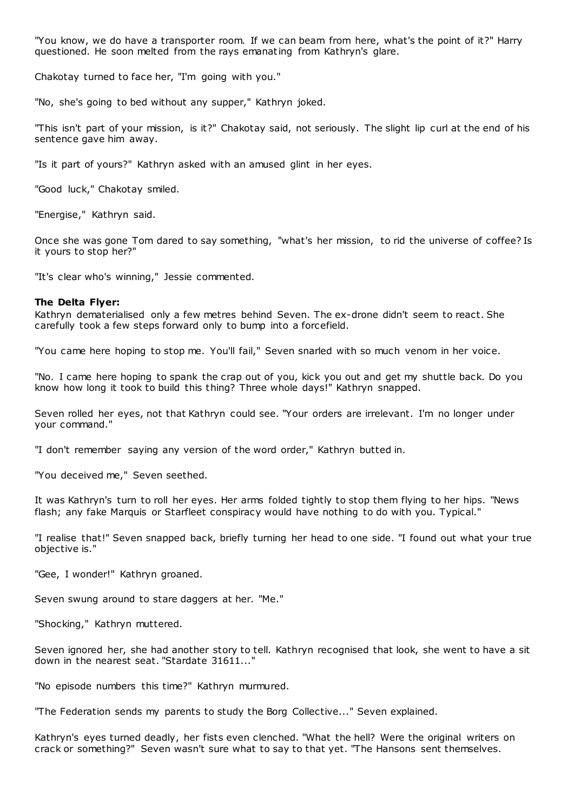"You know, we do have a transporter room. If we can beam from here, what's the point of it?" Harry questioned. He soon melted from the rays emanating from Kathryn's glare.

Chakotay turned to face her, "I'm going with you."

"No, she's going to bed without any supper," Kathryn joked.

"This isn't part of your mission, is it?" Chakotay said, not seriously. The slight lip curl at the end of his sentence gave him away.

"Is it part of yours?" Kathryn asked with an amused glint in her eyes.

"Good luck," Chakotay smiled.

"Energise," Kathryn said.

Once she was gone Tom dared to say something, "what's her mission, to rid the universe of coffee? Is it yours to stop her?"

"It's clear who's winning," Jessie commented.

## **The Delta Flyer:**

Kathryn dematerialised only a few metres behind Seven. The ex-drone didn't seem to react. She carefully took a few steps forward only to bump into a forcefield.

"You came here hoping to stop me. You'll fail," Seven snarled with so much venom in her voice.

"No. I came here hoping to spank the crap out of you, kick you out and get my shuttle back. Do you know how long it took to build this thing? Three whole days!" Kathryn snapped.

Seven rolled her eyes, not that Kathryn could see. "Your orders are irrelevant. I'm no longer under your command."

"I don't remember saying any version of the word order," Kathryn butted in.

"You deceived me," Seven seethed.

It was Kathryn's turn to roll her eyes. Her arms folded tightly to stop them flying to her hips. "News flash; any fake Marquis or Starfleet conspiracy would have nothing to do with you. Typical."

"I realise that!" Seven snapped back, briefly turning her head to one side. "I found out what your true objective is."

"Gee, I wonder!" Kathryn groaned.

Seven swung around to stare daggers at her. "Me."

"Shocking," Kathryn muttered.

Seven ignored her, she had another story to tell. Kathryn recognised that look, she went to have a sit down in the nearest seat. "Stardate 31611..."

"No episode numbers this time?" Kathryn murmured.

"The Federation sends my parents to study the Borg Collective..." Seven explained.

Kathryn's eyes turned deadly, her fists even clenched. "What the hell? Were the original writers on crack or something?" Seven wasn't sure what to say to that yet. "The Hansons sent themselves.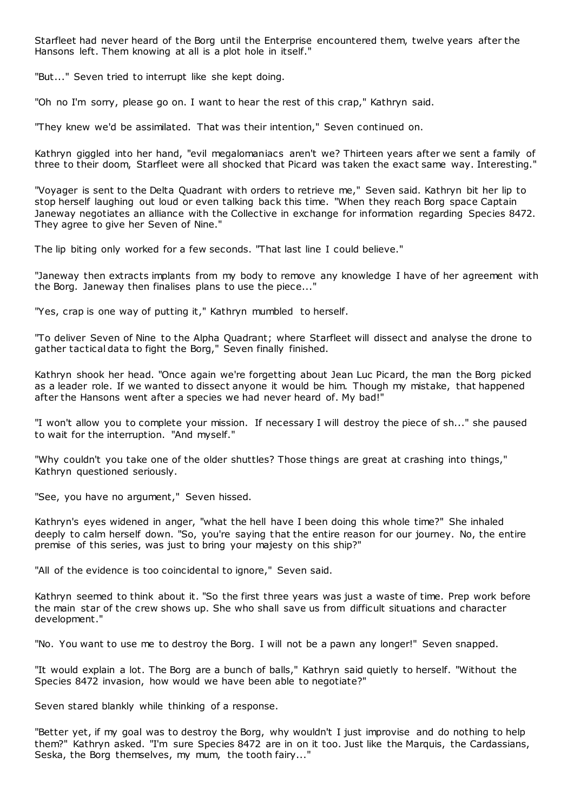Starfleet had never heard of the Borg until the Enterprise encountered them, twelve years after the Hansons left. Them knowing at all is a plot hole in itself."

"But..." Seven tried to interrupt like she kept doing.

"Oh no I'm sorry, please go on. I want to hear the rest of this crap," Kathryn said.

"They knew we'd be assimilated. That was their intention," Seven continued on.

Kathryn giggled into her hand, "evil megalomaniacs aren't we? Thirteen years after we sent a family of three to their doom, Starfleet were all shocked that Picard was taken the exact same way. Interesting."

"Voyager is sent to the Delta Quadrant with orders to retrieve me," Seven said. Kathryn bit her lip to stop herself laughing out loud or even talking back this time. "When they reach Borg space Captain Janeway negotiates an alliance with the Collective in exchange for information regarding Species 8472. They agree to give her Seven of Nine."

The lip biting only worked for a few seconds. "That last line I could believe."

"Janeway then extracts implants from my body to remove any knowledge I have of her agreement with the Borg. Janeway then finalises plans to use the piece...'

"Yes, crap is one way of putting it," Kathryn mumbled to herself.

"To deliver Seven of Nine to the Alpha Quadrant; where Starfleet will dissect and analyse the drone to gather tactical data to fight the Borg," Seven finally finished.

Kathryn shook her head. "Once again we're forgetting about Jean Luc Picard, the man the Borg picked as a leader role. If we wanted to dissect anyone it would be him. Though my mistake, that happened after the Hansons went after a species we had never heard of. My bad!"

"I won't allow you to complete your mission. If necessary I will destroy the piece of sh..." she paused to wait for the interruption. "And myself."

"Why couldn't you take one of the older shuttles? Those things are great at crashing into things," Kathryn questioned seriously.

"See, you have no argument," Seven hissed.

Kathryn's eyes widened in anger, "what the hell have I been doing this whole time?" She inhaled deeply to calm herself down. "So, you're saying that the entire reason for our journey. No, the entire premise of this series, was just to bring your majesty on this ship?"

"All of the evidence is too coincidental to ignore," Seven said.

Kathryn seemed to think about it. "So the first three years was just a waste of time. Prep work before the main star of the crew shows up. She who shall save us from difficult situations and character development."

"No. You want to use me to destroy the Borg. I will not be a pawn any longer!" Seven snapped.

"It would explain a lot. The Borg are a bunch of balls," Kathryn said quietly to herself. "Without the Species 8472 invasion, how would we have been able to negotiate?"

Seven stared blankly while thinking of a response.

"Better yet, if my goal was to destroy the Borg, why wouldn't I just improvise and do nothing to help them?" Kathryn asked. "I'm sure Species 8472 are in on it too. Just like the Marquis, the Cardassians, Seska, the Borg themselves, my mum, the tooth fairy..."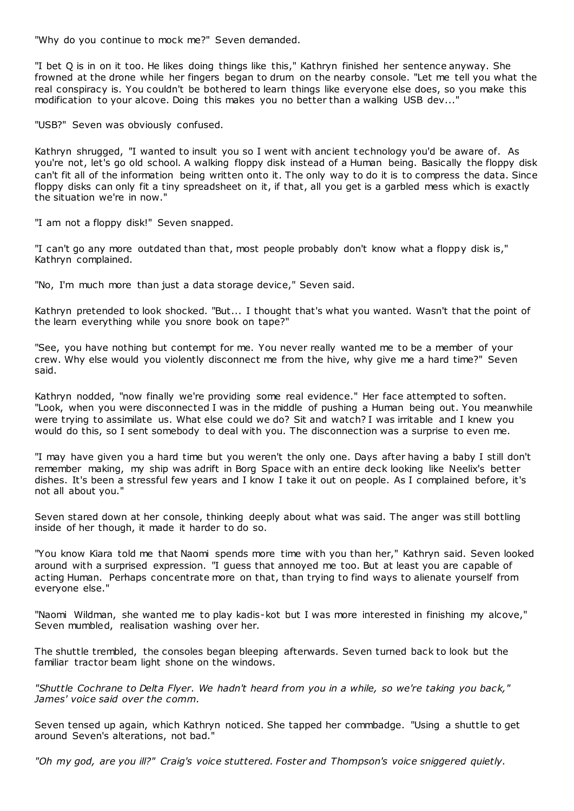"Why do you continue to mock me?" Seven demanded.

"I bet Q is in on it too. He likes doing things like this," Kathryn finished her sentence anyway. She frowned at the drone while her fingers began to drum on the nearby console. "Let me tell you what the real conspiracy is. You couldn't be bothered to learn things like everyone else does, so you make this modification to your alcove. Doing this makes you no better than a walking USB dev...'

"USB?" Seven was obviously confused.

Kathryn shrugged, "I wanted to insult you so I went with ancient t echnology you'd be aware of. As you're not, let's go old school. A walking floppy disk instead of a Human being. Basically the floppy disk can't fit all of the information being written onto it. The only way to do it is to compress the data. Since floppy disks can only fit a tiny spreadsheet on it, if that, all you get is a garbled mess which is exactly the situation we're in now."

"I am not a floppy disk!" Seven snapped.

"I can't go any more outdated than that, most people probably don't know what a floppy disk is," Kathryn complained.

"No, I'm much more than just a data storage device," Seven said.

Kathryn pretended to look shocked. "But... I thought that's what you wanted. Wasn't that the point of the learn everything while you snore book on tape?"

"See, you have nothing but contempt for me. You never really wanted me to be a member of your crew. Why else would you violently disconnect me from the hive, why give me a hard time?" Seven said.

Kathryn nodded, "now finally we're providing some real evidence." Her face attempted to soften. "Look, when you were disconnected I was in the middle of pushing a Human being out. You meanwhile were trying to assimilate us. What else could we do? Sit and watch? I was irritable and I knew you would do this, so I sent somebody to deal with you. The disconnection was a surprise to even me.

"I may have given you a hard time but you weren't the only one. Days after having a baby I still don't remember making, my ship was adrift in Borg Space with an entire deck looking like Neelix's better dishes. It's been a stressful few years and I know I take it out on people. As I complained before, it's not all about you."

Seven stared down at her console, thinking deeply about what was said. The anger was still bottling inside of her though, it made it harder to do so.

"You know Kiara told me that Naomi spends more time with you than her," Kathryn said. Seven looked around with a surprised expression. "I guess that annoyed me too. But at least you are capable of acting Human. Perhaps concentrate more on that, than trying to find ways to alienate yourself from everyone else."

"Naomi Wildman, she wanted me to play kadis-kot but I was more interested in finishing my alcove," Seven mumbled, realisation washing over her.

The shuttle trembled, the consoles began bleeping afterwards. Seven turned back to look but the familiar tractor beam light shone on the windows.

*"Shuttle Cochrane to Delta Flyer. We hadn't heard from you in a while, so we're taking you back," James' voice said over the comm.*

Seven tensed up again, which Kathryn noticed. She tapped her commbadge. "Using a shuttle to get around Seven's alterations, not bad."

*"Oh my god, are you ill?" Craig's voice stuttered. Foster and Thompson's voice sniggered quietly.*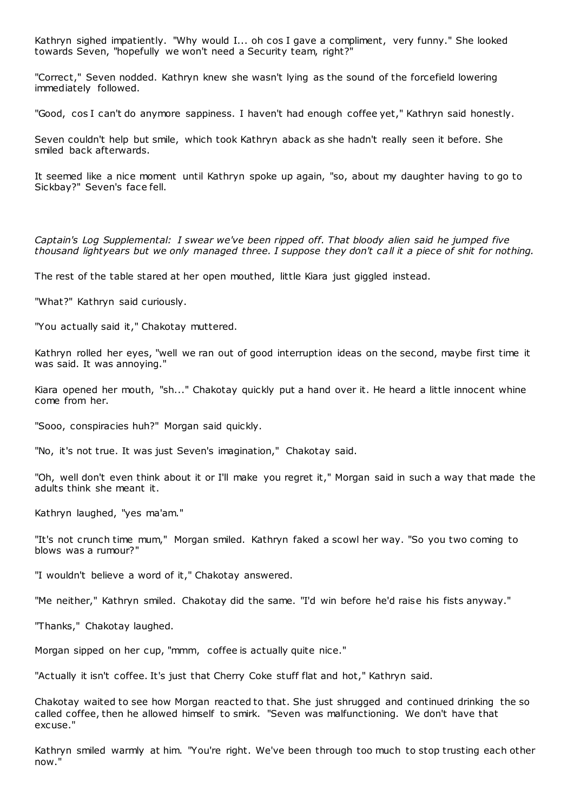Kathryn sighed impatiently. "Why would I... oh cos I gave a compliment, very funny." She looked towards Seven, "hopefully we won't need a Security team, right?"

"Correct," Seven nodded. Kathryn knew she wasn't lying as the sound of the forcefield lowering immediately followed.

"Good, cos I can't do anymore sappiness. I haven't had enough coffee yet," Kathryn said honestly.

Seven couldn't help but smile, which took Kathryn aback as she hadn't really seen it before. She smiled back afterwards.

It seemed like a nice moment until Kathryn spoke up again, "so, about my daughter having to go to Sickbay?" Seven's face fell.

*Captain's Log Supplemental: I swear we've been ripped off. That bloody alien said he jumped five thousand lightyears but we only managed three. I suppose they don't call it a piece of shit for nothing.*

The rest of the table stared at her open mouthed, little Kiara just giggled instead.

"What?" Kathryn said curiously.

"You actually said it," Chakotay muttered.

Kathryn rolled her eyes, "well we ran out of good interruption ideas on the second, maybe first time it was said. It was annoying."

Kiara opened her mouth, "sh..." Chakotay quickly put a hand over it. He heard a little innocent whine come from her.

"Sooo, conspiracies huh?" Morgan said quickly.

"No, it's not true. It was just Seven's imagination," Chakotay said.

"Oh, well don't even think about it or I'll make you regret it," Morgan said in such a way that made the adults think she meant it.

Kathryn laughed, "yes ma'am."

"It's not crunch time mum," Morgan smiled. Kathryn faked a scowl her way. "So you two coming to blows was a rumour?"

"I wouldn't believe a word of it," Chakotay answered.

"Me neither," Kathryn smiled. Chakotay did the same. "I'd win before he'd raise his fists anyway."

"Thanks," Chakotay laughed.

Morgan sipped on her cup, "mmm, coffee is actually quite nice."

"Actually it isn't coffee. It's just that Cherry Coke stuff flat and hot," Kathryn said.

Chakotay waited to see how Morgan reacted to that. She just shrugged and continued drinking the so called coffee, then he allowed himself to smirk. "Seven was malfunctioning. We don't have that excuse."

Kathryn smiled warmly at him. "You're right. We've been through too much to stop trusting each other now."